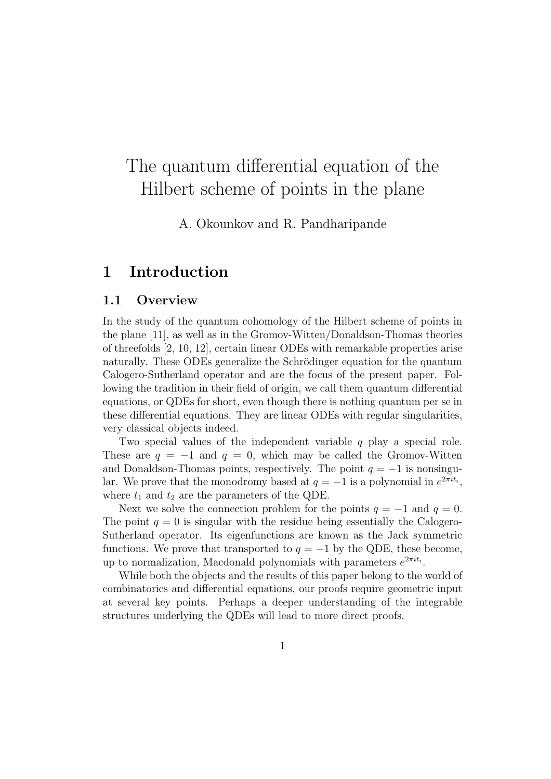# The quantum differential equation of the Hilbert scheme of points in the plane

A. Okounkov and R. Pandharipande

# 1 Introduction

## 1.1 Overview

In the study of the quantum cohomology of the Hilbert scheme of points in the plane [11], as well as in the Gromov-Witten/Donaldson-Thomas theories of threefolds [2, 10, 12], certain linear ODEs with remarkable properties arise naturally. These ODEs generalize the Schrödinger equation for the quantum Calogero-Sutherland operator and are the focus of the present paper. Following the tradition in their field of origin, we call them quantum differential equations, or QDEs for short, even though there is nothing quantum per se in these differential equations. They are linear ODEs with regular singularities, very classical objects indeed.

Two special values of the independent variable  $q$  play a special role. These are  $q = -1$  and  $q = 0$ , which may be called the Gromov-Witten and Donaldson-Thomas points, respectively. The point  $q = -1$  is nonsingular. We prove that the monodromy based at  $q = -1$  is a polynomial in  $e^{2\pi i t_i}$ , where  $t_1$  and  $t_2$  are the parameters of the QDE.

Next we solve the connection problem for the points  $q = -1$  and  $q = 0$ . The point  $q = 0$  is singular with the residue being essentially the Calogero-Sutherland operator. Its eigenfunctions are known as the Jack symmetric functions. We prove that transported to  $q = -1$  by the QDE, these become, up to normalization, Macdonald polynomials with parameters  $e^{2\pi i t_i}$ .

While both the objects and the results of this paper belong to the world of combinatorics and differential equations, our proofs require geometric input at several key points. Perhaps a deeper understanding of the integrable structures underlying the QDEs will lead to more direct proofs.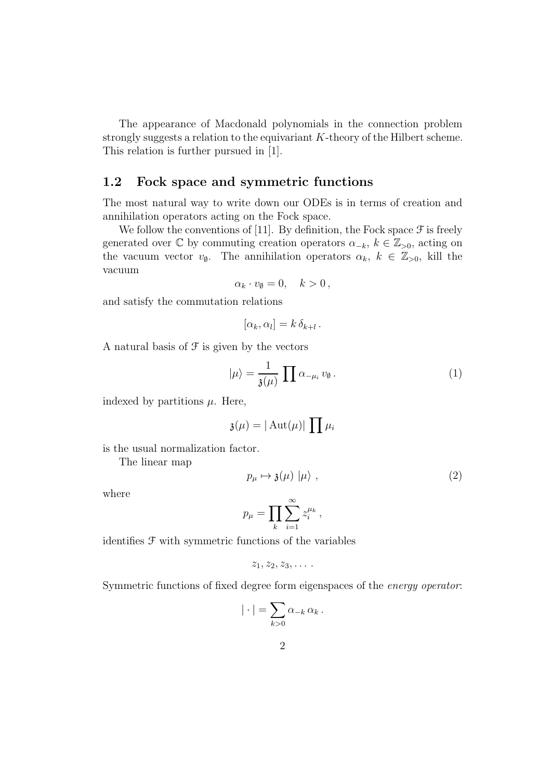The appearance of Macdonald polynomials in the connection problem strongly suggests a relation to the equivariant K-theory of the Hilbert scheme. This relation is further pursued in [1].

## 1.2 Fock space and symmetric functions

The most natural way to write down our ODEs is in terms of creation and annihilation operators acting on the Fock space.

We follow the conventions of [11]. By definition, the Fock space  $\mathcal F$  is freely generated over  $\mathbb C$  by commuting creation operators  $\alpha_{-k}, k \in \mathbb{Z}_{>0}$ , acting on the vacuum vector  $v_{\emptyset}$ . The annihilation operators  $\alpha_k, k \in \mathbb{Z}_{>0}$ , kill the vacuum

$$
\alpha_k \cdot v_\emptyset = 0, \quad k > 0 \,,
$$

and satisfy the commutation relations

$$
[\alpha_k, \alpha_l] = k \, \delta_{k+l} \, .
$$

A natural basis of  $\mathcal F$  is given by the vectors

$$
|\mu\rangle = \frac{1}{\mathfrak{z}(\mu)} \prod \alpha_{-\mu_i} v_{\emptyset}.
$$
 (1)

indexed by partitions  $\mu$ . Here,

$$
\mathfrak{z}(\mu) = |\operatorname{Aut}(\mu)| \prod \mu_i
$$

is the usual normalization factor.

The linear map

$$
p_{\mu} \mapsto \mathfrak{z}(\mu) \mid \mu \rangle , \qquad (2)
$$

where

$$
p_{\mu} = \prod_{k} \sum_{i=1}^{\infty} z_i^{\mu_k}
$$

,

identifies F with symmetric functions of the variables

$$
z_1, z_2, z_3, \ldots
$$

Symmetric functions of fixed degree form eigenspaces of the energy operator:

$$
|\cdot| = \sum_{k>0} \alpha_{-k} \alpha_k.
$$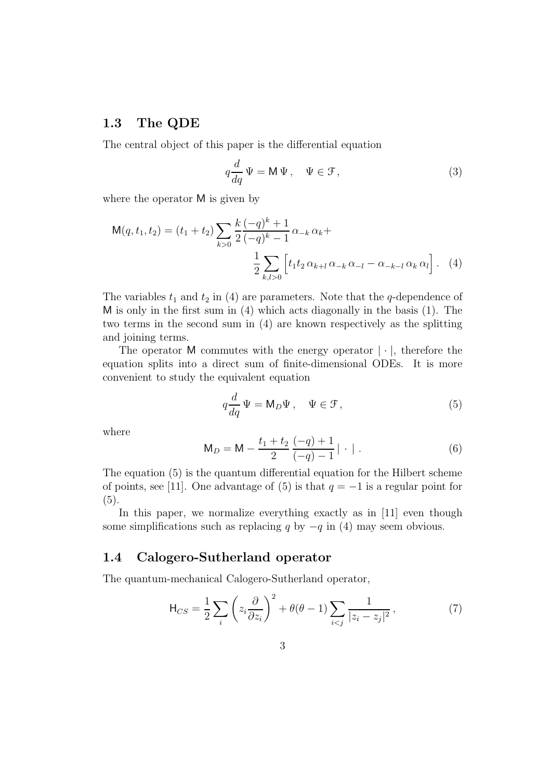#### 1.3 The QDE

The central object of this paper is the differential equation

$$
q\frac{d}{dq}\Psi = \mathsf{M}\Psi, \quad \Psi \in \mathcal{F},\tag{3}
$$

where the operator M is given by

$$
\mathsf{M}(q, t_1, t_2) = (t_1 + t_2) \sum_{k>0} \frac{k}{2} \frac{(-q)^k + 1}{(-q)^k - 1} \alpha_{-k} \alpha_k + \frac{1}{2} \sum_{k,l>0} \left[ t_1 t_2 \alpha_{k+l} \alpha_{-k} \alpha_{-l} - \alpha_{-k-l} \alpha_k \alpha_l \right]. \tag{4}
$$

The variables  $t_1$  and  $t_2$  in (4) are parameters. Note that the q-dependence of M is only in the first sum in (4) which acts diagonally in the basis (1). The two terms in the second sum in (4) are known respectively as the splitting and joining terms.

The operator M commutes with the energy operator  $|\cdot|$ , therefore the equation splits into a direct sum of finite-dimensional ODEs. It is more convenient to study the equivalent equation

$$
q\frac{d}{dq}\Psi = \mathsf{M}_D\Psi\,,\quad \Psi \in \mathcal{F}\,,\tag{5}
$$

where

$$
\mathsf{M}_D = \mathsf{M} - \frac{t_1 + t_2}{2} \frac{(-q) + 1}{(-q) - 1} | \cdot | \,. \tag{6}
$$

The equation (5) is the quantum differential equation for the Hilbert scheme of points, see [11]. One advantage of (5) is that  $q = -1$  is a regular point for (5).

In this paper, we normalize everything exactly as in [11] even though some simplifications such as replacing q by  $-q$  in (4) may seem obvious.

## 1.4 Calogero-Sutherland operator

The quantum-mechanical Calogero-Sutherland operator,

$$
\mathsf{H}_{CS} = \frac{1}{2} \sum_{i} \left( z_i \frac{\partial}{\partial z_i} \right)^2 + \theta(\theta - 1) \sum_{i < j} \frac{1}{|z_i - z_j|^2},\tag{7}
$$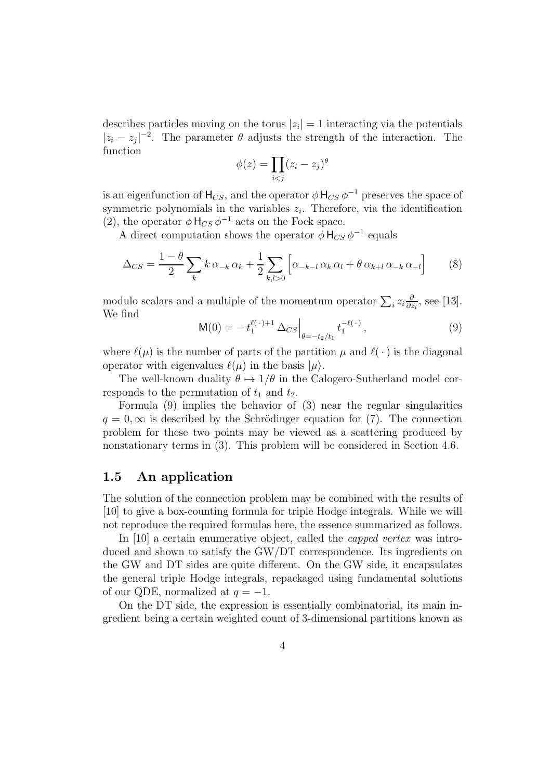describes particles moving on the torus  $|z_i| = 1$  interacting via the potentials  $|z_i - z_j|^{-2}$ . The parameter  $\theta$  adjusts the strength of the interaction. The function

$$
\phi(z) = \prod_{i < j} (z_i - z_j)^{\theta}
$$

is an eigenfunction of  $H_{CS}$ , and the operator  $\phi$   $H_{CS}$   $\phi^{-1}$  preserves the space of symmetric polynomials in the variables  $z_i$ . Therefore, via the identification (2), the operator  $\phi \, H_{CS} \, \phi^{-1}$  acts on the Fock space.

A direct computation shows the operator  $\phi$  H<sub>CS</sub>  $\phi^{-1}$  equals

$$
\Delta_{CS} = \frac{1-\theta}{2} \sum_{k} k \alpha_{-k} \alpha_k + \frac{1}{2} \sum_{k,l>0} \left[ \alpha_{-k-l} \alpha_k \alpha_l + \theta \alpha_{k+l} \alpha_{-k} \alpha_{-l} \right]
$$
(8)

modulo scalars and a multiple of the momentum operator  $\sum_i z_i \frac{\partial}{\partial z_i}$  $\frac{\partial}{\partial z_i}$ , see [13]. We find

$$
\mathsf{M}(0) = -t_1^{\ell(\cdot)+1} \Delta_{CS} \Big|_{\theta = -t_2/t_1} t_1^{-\ell(\cdot)}, \tag{9}
$$

where  $\ell(\mu)$  is the number of parts of the partition  $\mu$  and  $\ell(\cdot)$  is the diagonal operator with eigenvalues  $\ell(\mu)$  in the basis  $|\mu\rangle$ .

The well-known duality  $\theta \mapsto 1/\theta$  in the Calogero-Sutherland model corresponds to the permutation of  $t_1$  and  $t_2$ .

Formula (9) implies the behavior of (3) near the regular singularities  $q = 0, \infty$  is described by the Schrödinger equation for (7). The connection problem for these two points may be viewed as a scattering produced by nonstationary terms in (3). This problem will be considered in Section 4.6.

## 1.5 An application

The solution of the connection problem may be combined with the results of [10] to give a box-counting formula for triple Hodge integrals. While we will not reproduce the required formulas here, the essence summarized as follows.

In [10] a certain enumerative object, called the *capped vertex* was introduced and shown to satisfy the GW/DT correspondence. Its ingredients on the GW and DT sides are quite different. On the GW side, it encapsulates the general triple Hodge integrals, repackaged using fundamental solutions of our QDE, normalized at  $q = -1$ .

On the DT side, the expression is essentially combinatorial, its main ingredient being a certain weighted count of 3-dimensional partitions known as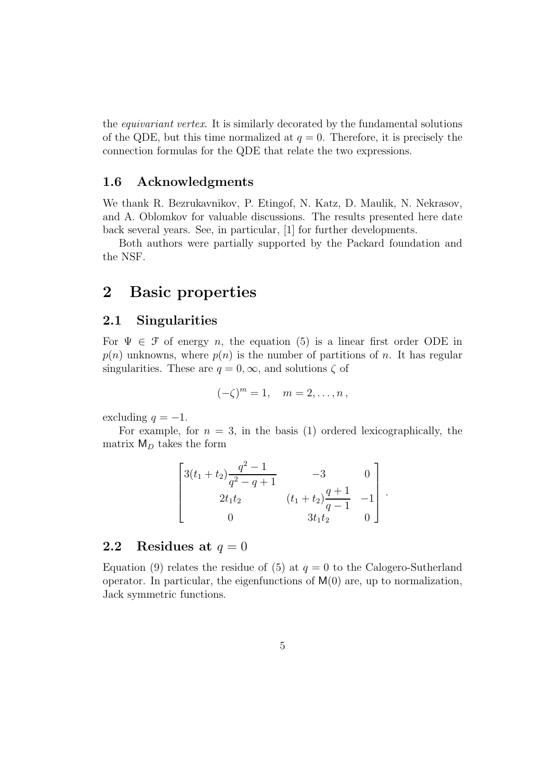the equivariant vertex. It is similarly decorated by the fundamental solutions of the QDE, but this time normalized at  $q = 0$ . Therefore, it is precisely the connection formulas for the QDE that relate the two expressions.

## 1.6 Acknowledgments

We thank R. Bezrukavnikov, P. Etingof, N. Katz, D. Maulik, N. Nekrasov, and A. Oblomkov for valuable discussions. The results presented here date back several years. See, in particular, [1] for further developments.

Both authors were partially supported by the Packard foundation and the NSF.

# 2 Basic properties

## 2.1 Singularities

For  $\Psi \in \mathcal{F}$  of energy n, the equation (5) is a linear first order ODE in  $p(n)$  unknowns, where  $p(n)$  is the number of partitions of n. It has regular singularities. These are  $q = 0, \infty$ , and solutions  $\zeta$  of

$$
(-\zeta)^m = 1, \quad m = 2, \ldots, n\,,
$$

excluding  $q = -1$ .

For example, for  $n = 3$ , in the basis (1) ordered lexicographically, the matrix  $M_D$  takes the form

$$
\begin{bmatrix} 3(t_1+t_2)\frac{q^2-1}{q^2-q+1} & -3 & 0 \ 2t_1t_2 & (t_1+t_2)\frac{q+1}{q-1} & -1 \ 0 & 3t_1t_2 & 0 \end{bmatrix}.
$$

## 2.2 Residues at  $q = 0$

Equation (9) relates the residue of (5) at  $q = 0$  to the Calogero-Sutherland operator. In particular, the eigenfunctions of  $M(0)$  are, up to normalization, Jack symmetric functions.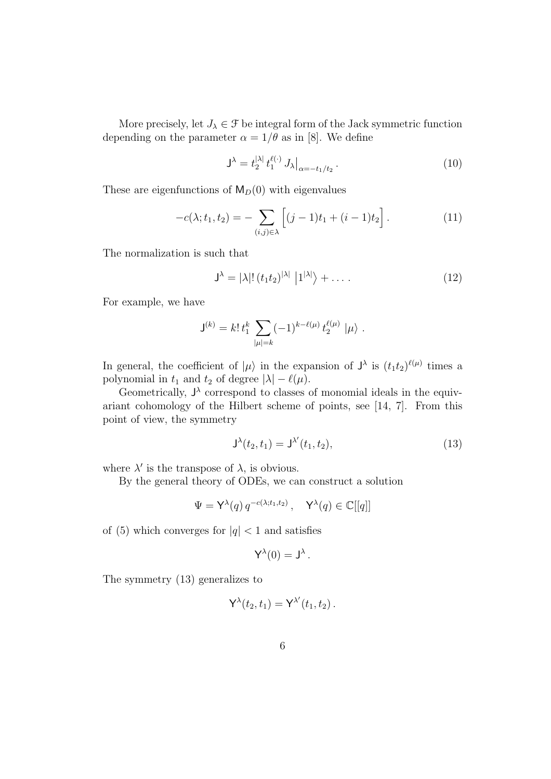More precisely, let  $J_{\lambda} \in \mathcal{F}$  be integral form of the Jack symmetric function depending on the parameter  $\alpha = 1/\theta$  as in [8]. We define

$$
\mathsf{J}^{\lambda} = t_2^{|\lambda|} t_1^{\ell(\cdot)} J_{\lambda}|_{\alpha = -t_1/t_2}.
$$
 (10)

These are eigenfunctions of  $M_D(0)$  with eigenvalues

$$
-c(\lambda; t_1, t_2) = -\sum_{(i,j)\in\lambda} \left[ (j-1)t_1 + (i-1)t_2 \right].
$$
 (11)

The normalization is such that

$$
\mathsf{J}^{\lambda} = |\lambda|! \left(t_1 t_2\right)^{|\lambda|} |1^{|\lambda|}\rangle + \dots \tag{12}
$$

For example, we have

$$
\mathsf{J}^{(k)} = k! \, t_1^k \, \sum_{|\mu|=k} (-1)^{k-\ell(\mu)} \, t_2^{\ell(\mu)} \, |\mu\rangle \; .
$$

In general, the coefficient of  $|\mu\rangle$  in the expansion of  $J^{\lambda}$  is  $(t_1t_2)^{\ell(\mu)}$  times a polynomial in  $t_1$  and  $t_2$  of degree  $|\lambda| - \ell(\mu)$ .

Geometrically,  $J^{\lambda}$  correspond to classes of monomial ideals in the equivariant cohomology of the Hilbert scheme of points, see [14, 7]. From this point of view, the symmetry

$$
J^{\lambda}(t_2, t_1) = J^{\lambda'}(t_1, t_2), \tag{13}
$$

where  $\lambda'$  is the transpose of  $\lambda$ , is obvious.

By the general theory of ODEs, we can construct a solution

$$
\Psi = \mathsf{Y}^{\lambda}(q) \, q^{-c(\lambda; t_1, t_2)}, \quad \mathsf{Y}^{\lambda}(q) \in \mathbb{C}[[q]]
$$

of (5) which converges for  $|q| < 1$  and satisfies

$$
\mathsf{Y}^\lambda(0)=\mathsf{J}^\lambda\,.
$$

The symmetry (13) generalizes to

$$
\mathsf{Y}^{\lambda}(t_2,t_1)=\mathsf{Y}^{\lambda'}(t_1,t_2)\,.
$$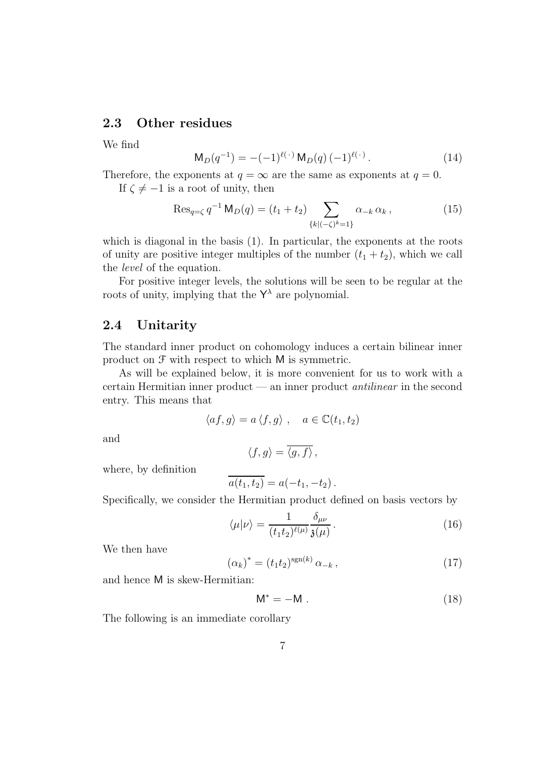## 2.3 Other residues

We find

$$
\mathsf{M}_{D}(q^{-1}) = -(-1)^{\ell(\cdot)} \, \mathsf{M}_{D}(q) \, (-1)^{\ell(\cdot)} \,. \tag{14}
$$

Therefore, the exponents at  $q = \infty$  are the same as exponents at  $q = 0$ .

If  $\zeta \neq -1$  is a root of unity, then

$$
\operatorname{Res}_{q=\zeta} q^{-1} \operatorname{M}_D(q) = (t_1 + t_2) \sum_{\{k \mid (-\zeta)^k = 1\}} \alpha_{-k} \alpha_k, \qquad (15)
$$

which is diagonal in the basis (1). In particular, the exponents at the roots of unity are positive integer multiples of the number  $(t_1 + t_2)$ , which we call the level of the equation.

For positive integer levels, the solutions will be seen to be regular at the roots of unity, implying that the  $\mathsf{Y}^{\lambda}$  are polynomial.

#### 2.4 Unitarity

The standard inner product on cohomology induces a certain bilinear inner product on F with respect to which M is symmetric.

As will be explained below, it is more convenient for us to work with a certain Hermitian inner product — an inner product antilinear in the second entry. This means that

$$
\langle af, g \rangle = a \langle f, g \rangle , \quad a \in \mathbb{C}(t_1, t_2)
$$

and

$$
\langle f, g \rangle = \overline{\langle g, f \rangle} \,,
$$
 where, by definition

$$
\overline{a(t_1, t_2)} = a(-t_1, -t_2).
$$

Specifically, we consider the Hermitian product defined on basis vectors by

$$
\langle \mu | \nu \rangle = \frac{1}{(t_1 t_2)^{\ell(\mu)}} \frac{\delta_{\mu\nu}}{\mathfrak{z}(\mu)} \,. \tag{16}
$$

We then have

$$
(\alpha_k)^* = (t_1 t_2)^{\text{sgn}(k)} \alpha_{-k}, \qquad (17)
$$

and hence M is skew-Hermitian:

$$
\mathsf{M}^* = -\mathsf{M} \tag{18}
$$

The following is an immediate corollary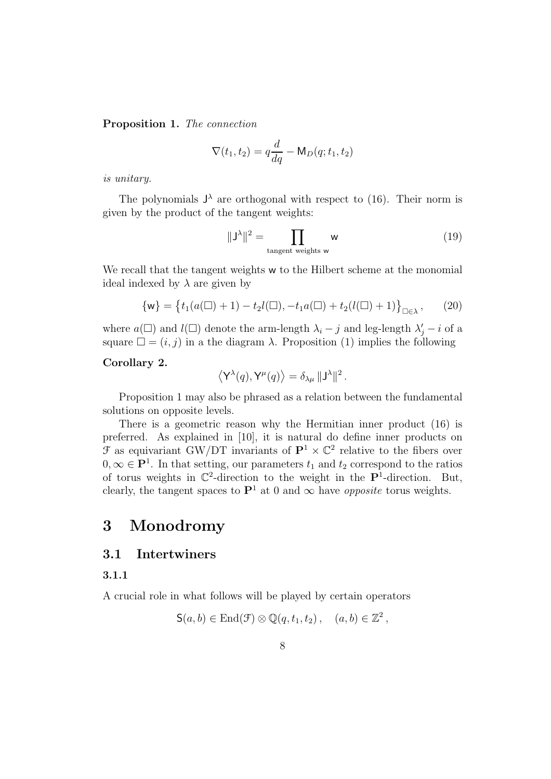Proposition 1. The connection

$$
\nabla(t_1, t_2) = q\frac{d}{dq} - \mathsf{M}_D(q; t_1, t_2)
$$

is unitary.

The polynomials  $J^{\lambda}$  are orthogonal with respect to (16). Their norm is given by the product of the tangent weights:

$$
\|\mathsf{J}^{\lambda}\|^2 = \prod_{\text{tangent weights } \mathsf{w}} \mathsf{w}
$$
 (19)

We recall that the tangent weights w to the Hilbert scheme at the monomial ideal indexed by  $\lambda$  are given by

$$
\{w\} = \{t_1(a(\square) + 1) - t_2 l(\square), -t_1 a(\square) + t_2(l(\square) + 1)\}_{\square \in \lambda}, \qquad (20)
$$

where  $a(\Box)$  and  $l(\Box)$  denote the arm-length  $\lambda_i - j$  and leg-length  $\lambda'_j - i$  of a square  $\square = (i, j)$  in a the diagram  $\lambda$ . Proposition (1) implies the following

#### Corollary 2.

$$
\langle \mathsf{Y}^\lambda(q), \mathsf{Y}^\mu(q) \rangle = \delta_{\lambda \mu} \, \|\mathsf{J}^\lambda\|^2 \,.
$$

Proposition 1 may also be phrased as a relation between the fundamental solutions on opposite levels.

There is a geometric reason why the Hermitian inner product (16) is preferred. As explained in [10], it is natural do define inner products on  $\mathcal F$  as equivariant GW/DT invariants of  $\mathbf P^1 \times \mathbb C^2$  relative to the fibers over  $0, \infty \in \mathbf{P}^1$ . In that setting, our parameters  $t_1$  and  $t_2$  correspond to the ratios of torus weights in  $\mathbb{C}^2$ -direction to the weight in the  $\mathbf{P}^1$ -direction. But, clearly, the tangent spaces to  $\mathbf{P}^1$  at 0 and  $\infty$  have *opposite* torus weights.

# 3 Monodromy

## 3.1 Intertwiners

#### 3.1.1

A crucial role in what follows will be played by certain operators

$$
\mathsf{S}(a,b) \in \mathrm{End}(\mathcal{F}) \otimes \mathbb{Q}(q,t_1,t_2), \quad (a,b) \in \mathbb{Z}^2,
$$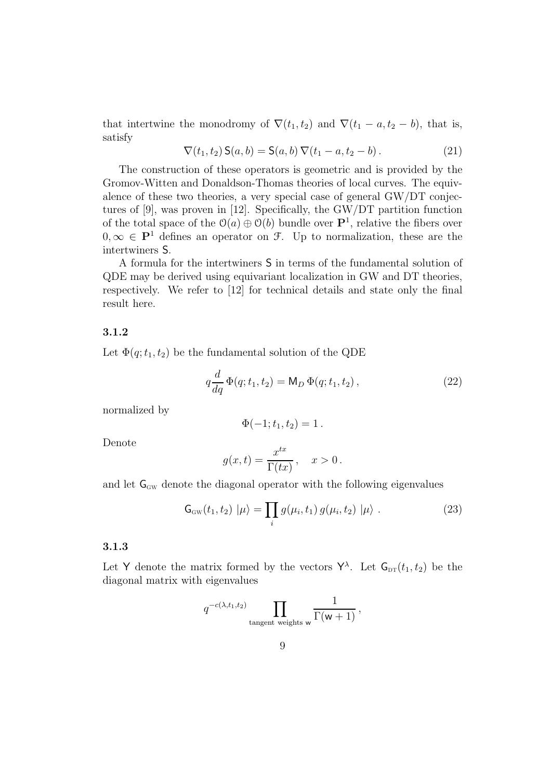that intertwine the monodromy of  $\nabla(t_1, t_2)$  and  $\nabla(t_1 - a, t_2 - b)$ , that is, satisfy

$$
\nabla(t_1, t_2) \mathsf{S}(a, b) = \mathsf{S}(a, b) \, \nabla(t_1 - a, t_2 - b) \,. \tag{21}
$$

The construction of these operators is geometric and is provided by the Gromov-Witten and Donaldson-Thomas theories of local curves. The equivalence of these two theories, a very special case of general GW/DT conjectures of [9], was proven in [12]. Specifically, the GW/DT partition function of the total space of the  $\mathcal{O}(a) \oplus \mathcal{O}(b)$  bundle over  $\mathbf{P}^1$ , relative the fibers over  $0, \infty \in \mathbf{P}^1$  defines an operator on  $\mathcal{F}$ . Up to normalization, these are the intertwiners S.

A formula for the intertwiners S in terms of the fundamental solution of QDE may be derived using equivariant localization in GW and DT theories, respectively. We refer to [12] for technical details and state only the final result here.

#### 3.1.2

Let  $\Phi(q; t_1, t_2)$  be the fundamental solution of the QDE

$$
q\frac{d}{dq}\Phi(q; t_1, t_2) = \mathsf{M}_D\,\Phi(q; t_1, t_2)\,,\tag{22}
$$

normalized by

$$
\Phi(-1; t_1, t_2) = 1.
$$

Denote

$$
g(x,t) = \frac{x^{tx}}{\Gamma(tx)}, \quad x > 0.
$$

and let  $\mathsf{G}_\text{\tiny GW}$  denote the diagonal operator with the following eigenvalues

$$
G_{\rm GW}(t_1, t_2) | \mu \rangle = \prod_i g(\mu_i, t_1) g(\mu_i, t_2) | \mu \rangle . \tag{23}
$$

#### 3.1.3

Let Y denote the matrix formed by the vectors  $Y^{\lambda}$ . Let  $G_{DT}(t_1, t_2)$  be the diagonal matrix with eigenvalues

$$
q^{-c(\lambda,t_1,t_2)}\prod_{\text{tangent weights } w}\frac{1}{\Gamma(w+1)}\,,
$$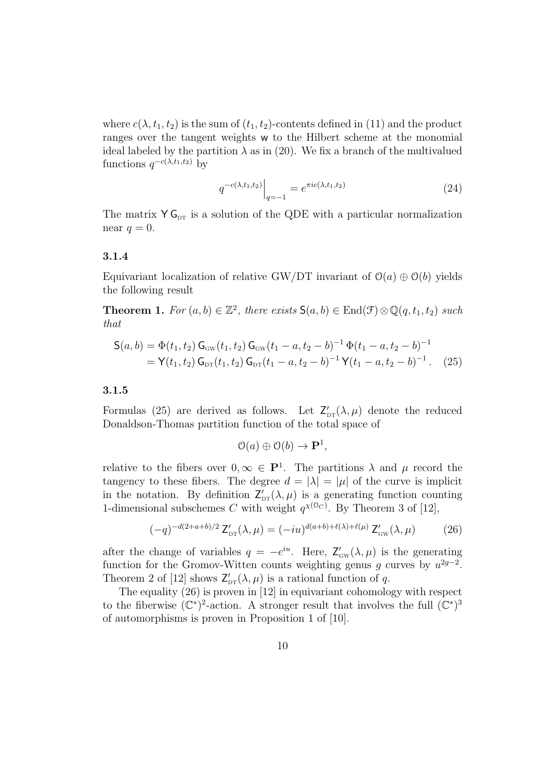where  $c(\lambda, t_1, t_2)$  is the sum of  $(t_1, t_2)$ -contents defined in (11) and the product ranges over the tangent weights w to the Hilbert scheme at the monomial ideal labeled by the partition  $\lambda$  as in (20). We fix a branch of the multivalued functions  $q^{-c(\lambda,t_1,t_2)}$  by

$$
q^{-c(\lambda, t_1, t_2)}\Big|_{q=-1} = e^{\pi i c(\lambda, t_1, t_2)} \tag{24}
$$

The matrix  $Y G_{DT}$  is a solution of the QDE with a particular normalization near  $q=0$ .

#### 3.1.4

Equivariant localization of relative GW/DT invariant of  $\mathcal{O}(a) \oplus \mathcal{O}(b)$  yields the following result

**Theorem 1.** For  $(a, b) \in \mathbb{Z}^2$ , there exists  $S(a, b) \in \text{End}(\mathcal{F}) \otimes \mathbb{Q}(q, t_1, t_2)$  such that

$$
\begin{split} \mathsf{S}(a,b) &= \Phi(t_1,t_2) \, \mathsf{G}_{\scriptscriptstyle{\mathrm{GW}}}(t_1,t_2) \, \mathsf{G}_{\scriptscriptstyle{\mathrm{GW}}}(t_1-a,t_2-b)^{-1} \, \Phi(t_1-a,t_2-b)^{-1} \\ &= \mathsf{Y}(t_1,t_2) \, \mathsf{G}_{\scriptscriptstyle{\mathrm{DT}}}(t_1,t_2) \, \mathsf{G}_{\scriptscriptstyle{\mathrm{DT}}}(t_1-a,t_2-b)^{-1} \, \mathsf{Y}(t_1-a,t_2-b)^{-1} \,. \end{split} \tag{25}
$$

#### 3.1.5

Formulas (25) are derived as follows. Let  $Z'_{\text{DT}}(\lambda, \mu)$  denote the reduced Donaldson-Thomas partition function of the total space of

$$
\mathcal{O}(a) \oplus \mathcal{O}(b) \to \mathbf{P}^1,
$$

relative to the fibers over  $0, \infty \in \mathbf{P}^1$ . The partitions  $\lambda$  and  $\mu$  record the tangency to these fibers. The degree  $d = |\lambda| = |\mu|$  of the curve is implicit in the notation. By definition  $Z'_{\text{DT}}(\lambda, \mu)$  is a generating function counting 1-dimensional subschemes C with weight  $q^{\chi(\mathcal{O}_C)}$ . By Theorem 3 of [12],

$$
(-q)^{-d(2+a+b)/2} Z'_{\text{DT}}(\lambda, \mu) = (-iu)^{d(a+b)+\ell(\lambda)+\ell(\mu)} Z'_{\text{GW}}(\lambda, \mu) \tag{26}
$$

after the change of variables  $q = -e^{iu}$ . Here,  $Z'_{\text{GW}}(\lambda, \mu)$  is the generating function for the Gromov-Witten counts weighting genus g curves by  $u^{2g-2}$ . Theorem 2 of [12] shows  $Z'_{\text{DT}}(\lambda, \mu)$  is a rational function of q.

The equality (26) is proven in [12] in equivariant cohomology with respect to the fiberwise  $(\mathbb{C}^*)^2$ -action. A stronger result that involves the full  $(\mathbb{C}^*)^3$ of automorphisms is proven in Proposition 1 of [10].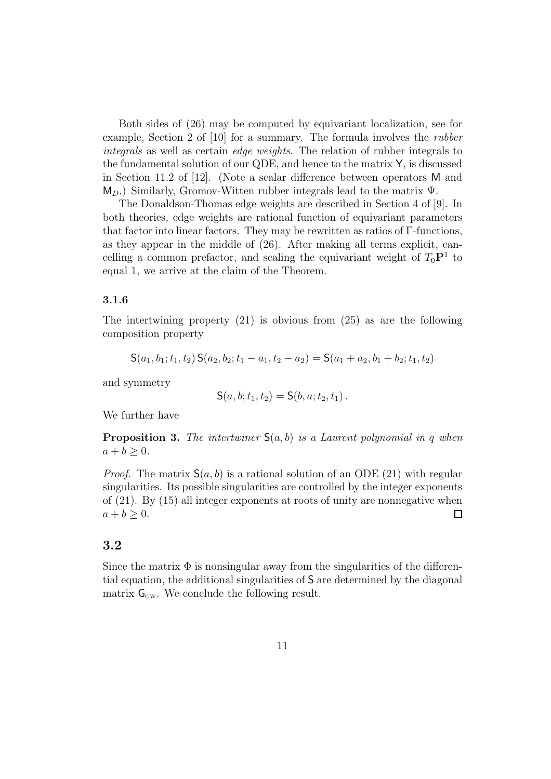Both sides of (26) may be computed by equivariant localization, see for example, Section 2 of [10] for a summary. The formula involves the rubber integrals as well as certain edge weights. The relation of rubber integrals to the fundamental solution of our QDE, and hence to the matrix Y, is discussed in Section 11.2 of [12]. (Note a scalar difference between operators M and  $M_D$ .) Similarly, Gromov-Witten rubber integrals lead to the matrix  $\Psi$ .

The Donaldson-Thomas edge weights are described in Section 4 of [9]. In both theories, edge weights are rational function of equivariant parameters that factor into linear factors. They may be rewritten as ratios of Γ-functions, as they appear in the middle of (26). After making all terms explicit, cancelling a common prefactor, and scaling the equivariant weight of  $T_0P^1$  to equal 1, we arrive at the claim of the Theorem.

#### 3.1.6

The intertwining property (21) is obvious from (25) as are the following composition property

$$
S(a_1, b_1; t_1, t_2) S(a_2, b_2; t_1 - a_1, t_2 - a_2) = S(a_1 + a_2, b_1 + b_2; t_1, t_2)
$$

and symmetry

$$
S(a, b; t_1, t_2) = S(b, a; t_2, t_1).
$$

We further have

**Proposition 3.** The intertwiner  $S(a, b)$  is a Laurent polynomial in q when  $a + b \geq 0$ .

*Proof.* The matrix  $S(a, b)$  is a rational solution of an ODE (21) with regular singularities. Its possible singularities are controlled by the integer exponents of (21). By (15) all integer exponents at roots of unity are nonnegative when  $a + b > 0.$ □

## 3.2

Since the matrix  $\Phi$  is nonsingular away from the singularities of the differential equation, the additional singularities of S are determined by the diagonal matrix  $\mathsf{G}_{\mathrm{GW}}$ . We conclude the following result.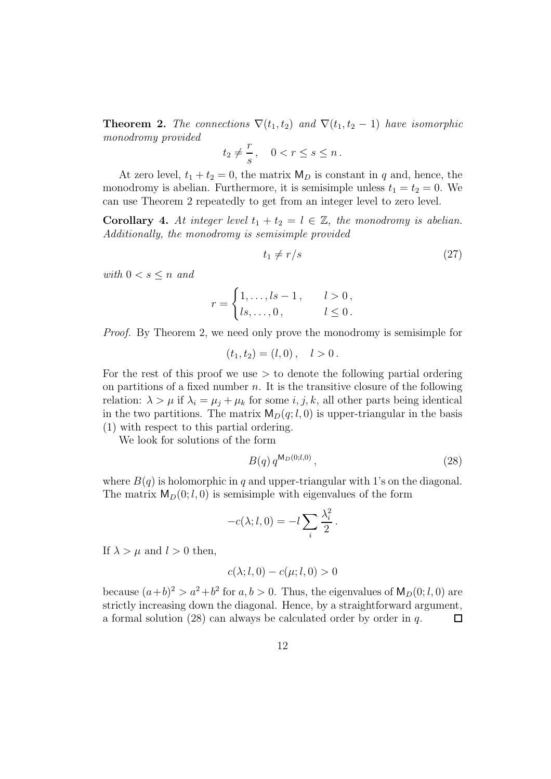**Theorem 2.** The connections  $\nabla(t_1, t_2)$  and  $\nabla(t_1, t_2 - 1)$  have isomorphic monodromy provided

$$
t_2 \neq \frac{r}{s}, \quad 0 < r \le s \le n \, .
$$

At zero level,  $t_1 + t_2 = 0$ , the matrix  $M_D$  is constant in q and, hence, the monodromy is abelian. Furthermore, it is semisimple unless  $t_1 = t_2 = 0$ . We can use Theorem 2 repeatedly to get from an integer level to zero level.

**Corollary 4.** At integer level  $t_1 + t_2 = l \in \mathbb{Z}$ , the monodromy is abelian. Additionally, the monodromy is semisimple provided

$$
t_1 \neq r/s \tag{27}
$$

with  $0 < s \leq n$  and

$$
r = \begin{cases} 1, \dots, ls - 1, & l > 0, \\ ls, \dots, 0, & l \le 0. \end{cases}
$$

Proof. By Theorem 2, we need only prove the monodromy is semisimple for

$$
(t_1, t_2) = (l, 0), \quad l > 0.
$$

For the rest of this proof we use  $>$  to denote the following partial ordering on partitions of a fixed number  $n$ . It is the transitive closure of the following relation:  $\lambda > \mu$  if  $\lambda_i = \mu_i + \mu_k$  for some *i*, *j*, *k*, all other parts being identical in the two partitions. The matrix  $M_D(q; l, 0)$  is upper-triangular in the basis (1) with respect to this partial ordering.

We look for solutions of the form

$$
B(q) q^{\mathsf{M}_D(0;l,0)}, \tag{28}
$$

where  $B(q)$  is holomorphic in q and upper-triangular with 1's on the diagonal. The matrix  $M_D(0; l, 0)$  is semisimple with eigenvalues of the form

$$
-c(\lambda; l, 0) = -l \sum_{i} \frac{\lambda_i^2}{2}.
$$

If  $\lambda > \mu$  and  $l > 0$  then,

$$
c(\lambda; l, 0) - c(\mu; l, 0) > 0
$$

because  $(a+b)^2 > a^2+b^2$  for  $a, b > 0$ . Thus, the eigenvalues of  $M_D(0; l, 0)$  are strictly increasing down the diagonal. Hence, by a straightforward argument, a formal solution (28) can always be calculated order by order in q.  $\Box$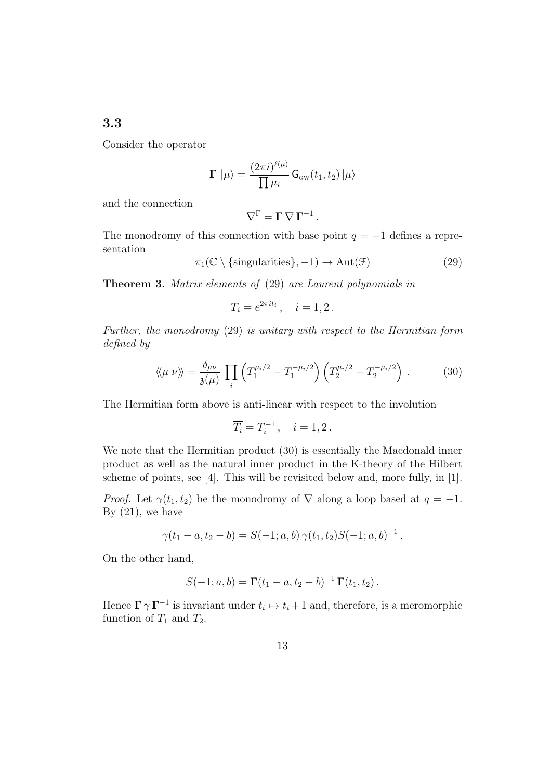## 3.3

Consider the operator

$$
\Gamma \left| \mu \right\rangle = \frac{(2\pi i)^{\ell(\mu)}}{\prod \mu_i} \mathsf{G}_{\scriptscriptstyle{\mathrm{GW}}}(t_1,t_2) \left| \mu \right\rangle
$$

and the connection

$$
\nabla^{\Gamma} = \Gamma \, \nabla \, \Gamma^{-1} \, .
$$

The monodromy of this connection with base point  $q = -1$  defines a representation

 $\pi_1(\mathbb{C} \setminus {\text{singularities}}, -1) \to \text{Aut}(\mathcal{F})$ (29)

Theorem 3. Matrix elements of (29) are Laurent polynomials in

$$
T_i = e^{2\pi i t_i}, \quad i = 1, 2.
$$

Further, the monodromy (29) is unitary with respect to the Hermitian form defined by

$$
\langle \langle \mu | \nu \rangle \rangle = \frac{\delta_{\mu\nu}}{\mathfrak{z}(\mu)} \prod_{i} \left( T_1^{\mu_i/2} - T_1^{-\mu_i/2} \right) \left( T_2^{\mu_i/2} - T_2^{-\mu_i/2} \right) . \tag{30}
$$

The Hermitian form above is anti-linear with respect to the involution

$$
\overline{T_i} = T_i^{-1}, \quad i = 1, 2.
$$

We note that the Hermitian product (30) is essentially the Macdonald inner product as well as the natural inner product in the K-theory of the Hilbert scheme of points, see [4]. This will be revisited below and, more fully, in [1].

*Proof.* Let  $\gamma(t_1, t_2)$  be the monodromy of  $\nabla$  along a loop based at  $q = -1$ . By  $(21)$ , we have

$$
\gamma(t_1-a,t_2-b)=S(-1;a,b)\,\gamma(t_1,t_2)S(-1;a,b)^{-1}\,.
$$

On the other hand,

$$
S(-1; a, b) = \Gamma(t_1 - a, t_2 - b)^{-1} \Gamma(t_1, t_2).
$$

Hence  $\Gamma \gamma \Gamma^{-1}$  is invariant under  $t_i \mapsto t_i + 1$  and, therefore, is a meromorphic function of  $T_1$  and  $T_2$ .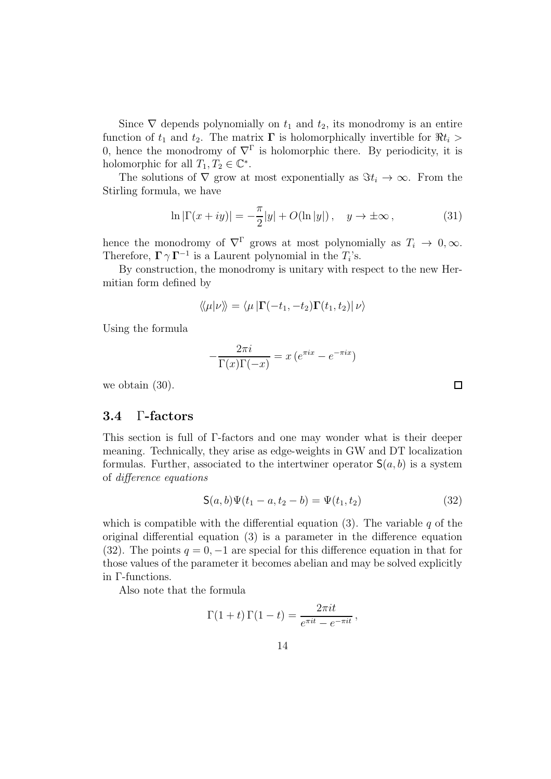Since  $\nabla$  depends polynomially on  $t_1$  and  $t_2$ , its monodromy is an entire function of  $t_1$  and  $t_2$ . The matrix  $\Gamma$  is holomorphically invertible for  $\Re t_i >$ 0, hence the monodromy of  $\nabla^{\Gamma}$  is holomorphic there. By periodicity, it is holomorphic for all  $T_1, T_2 \in \mathbb{C}^*$ .

The solutions of  $\nabla$  grow at most exponentially as  $\Im t_i \to \infty$ . From the Stirling formula, we have

$$
\ln|\Gamma(x+iy)| = -\frac{\pi}{2}|y| + O(\ln|y|) , \quad y \to \pm \infty , \tag{31}
$$

hence the monodromy of  $\nabla^{\Gamma}$  grows at most polynomially as  $T_i \to 0, \infty$ . Therefore,  $\Gamma \gamma \Gamma^{-1}$  is a Laurent polynomial in the  $T_i$ 's.

By construction, the monodromy is unitary with respect to the new Hermitian form defined by

$$
\langle\!\langle \mu | \nu \rangle\!\rangle = \langle \mu | \mathbf{\Gamma}(-t_1, -t_2) \mathbf{\Gamma}(t_1, t_2) | \nu \rangle
$$

Using the formula

$$
-\frac{2\pi i}{\Gamma(x)\Gamma(-x)} = x\left(e^{\pi ix} - e^{-\pi ix}\right)
$$

we obtain (30).

#### 3.4 Γ-factors

This section is full of Γ-factors and one may wonder what is their deeper meaning. Technically, they arise as edge-weights in GW and DT localization formulas. Further, associated to the intertwiner operator  $S(a, b)$  is a system of difference equations

$$
S(a,b)\Psi(t_1-a,t_2-b) = \Psi(t_1,t_2)
$$
\n(32)

which is compatible with the differential equation (3). The variable  $q$  of the original differential equation (3) is a parameter in the difference equation (32). The points  $q = 0, -1$  are special for this difference equation in that for those values of the parameter it becomes abelian and may be solved explicitly in Γ-functions.

Also note that the formula

$$
\Gamma(1+t)\,\Gamma(1-t) = \frac{2\pi i t}{e^{\pi i t} - e^{-\pi i t}}\,,
$$

 $\Box$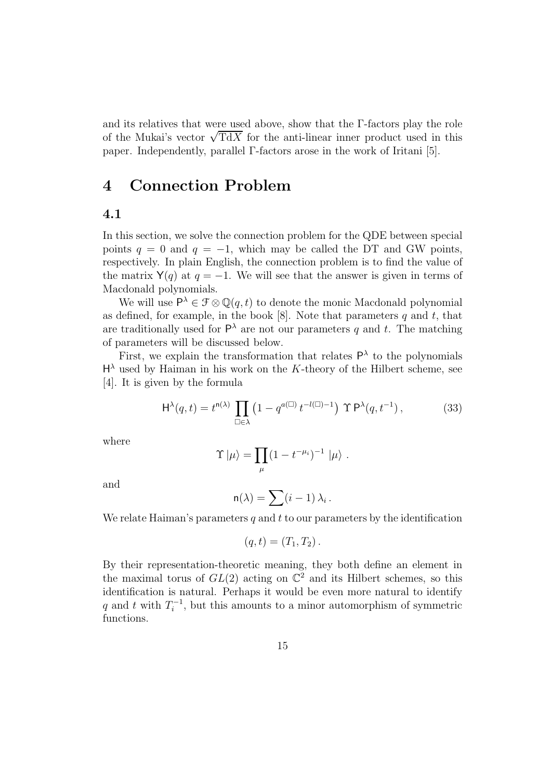and its relatives that were used above, show that the Γ-factors play the role of the Mukai's vector  $\sqrt{TdX}$  for the anti-linear inner product used in this paper. Independently, parallel Γ-factors arose in the work of Iritani [5].

# 4 Connection Problem

## 4.1

In this section, we solve the connection problem for the QDE between special points  $q = 0$  and  $q = -1$ , which may be called the DT and GW points, respectively. In plain English, the connection problem is to find the value of the matrix  $Y(q)$  at  $q = -1$ . We will see that the answer is given in terms of Macdonald polynomials.

We will use  $P^{\lambda} \in \mathcal{F} \otimes \mathbb{Q}(q, t)$  to denote the monic Macdonald polynomial as defined, for example, in the book  $[8]$ . Note that parameters q and t, that are traditionally used for  $\mathsf{P}^{\lambda}$  are not our parameters q and t. The matching of parameters will be discussed below.

First, we explain the transformation that relates  $P^{\lambda}$  to the polynomials  $H^{\lambda}$  used by Haiman in his work on the K-theory of the Hilbert scheme, see [4]. It is given by the formula

$$
\mathsf{H}^{\lambda}(q,t) = t^{\mathsf{n}(\lambda)} \prod_{\square \in \lambda} \left( 1 - q^{a(\square)} t^{-l(\square) - 1} \right) \Upsilon \mathsf{P}^{\lambda}(q, t^{-1}), \tag{33}
$$

where

$$
\Upsilon |\mu\rangle = \prod_{\mu} (1 - t^{-\mu_i})^{-1} |\mu\rangle.
$$

and

$$
\mathsf{n}(\lambda) = \sum (i-1) \, \lambda_i \, .
$$

We relate Haiman's parameters q and t to our parameters by the identification

$$
(q,t)=(T_1,T_2).
$$

By their representation-theoretic meaning, they both define an element in the maximal torus of  $GL(2)$  acting on  $\mathbb{C}^2$  and its Hilbert schemes, so this identification is natural. Perhaps it would be even more natural to identify q and t with  $T_i^{-1}$  $i^{-1}$ , but this amounts to a minor automorphism of symmetric functions.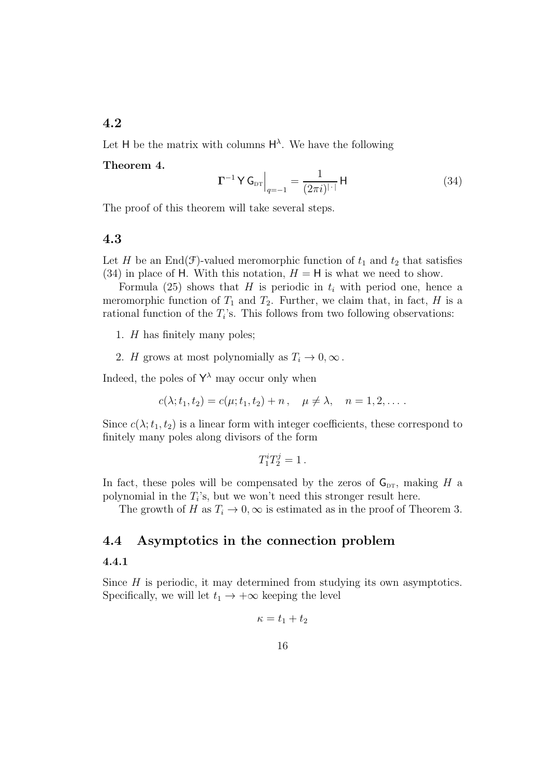## 4.2

Let H be the matrix with columns  $H^{\lambda}$ . We have the following

#### Theorem 4.

$$
\Gamma^{-1} \mathsf{Y} \mathsf{G}_{\text{DT}} \Big|_{q=-1} = \frac{1}{(2\pi i)^{|\cdot|}} \mathsf{H} \tag{34}
$$

The proof of this theorem will take several steps.

#### 4.3

Let H be an End(F)-valued meromorphic function of  $t_1$  and  $t_2$  that satisfies (34) in place of H. With this notation,  $H = H$  is what we need to show.

Formula (25) shows that H is periodic in  $t_i$  with period one, hence a meromorphic function of  $T_1$  and  $T_2$ . Further, we claim that, in fact, H is a rational function of the  $T_i$ 's. This follows from two following observations:

- 1. H has finitely many poles;
- 2. H grows at most polynomially as  $T_i \to 0, \infty$ .

Indeed, the poles of  $\mathsf{Y}^{\lambda}$  may occur only when

$$
c(\lambda; t_1, t_2) = c(\mu; t_1, t_2) + n, \quad \mu \neq \lambda, \quad n = 1, 2, \dots.
$$

Since  $c(\lambda; t_1, t_2)$  is a linear form with integer coefficients, these correspond to finitely many poles along divisors of the form

$$
T_1^i T_2^j = 1.
$$

In fact, these poles will be compensated by the zeros of  $G_{DT}$ , making H a polynomial in the  $T_i$ 's, but we won't need this stronger result here.

The growth of H as  $T_i \to 0$ ,  $\infty$  is estimated as in the proof of Theorem 3.

## 4.4 Asymptotics in the connection problem

#### 4.4.1

Since  $H$  is periodic, it may determined from studying its own asymptotics. Specifically, we will let  $t_1 \rightarrow +\infty$  keeping the level

$$
\kappa = t_1 + t_2
$$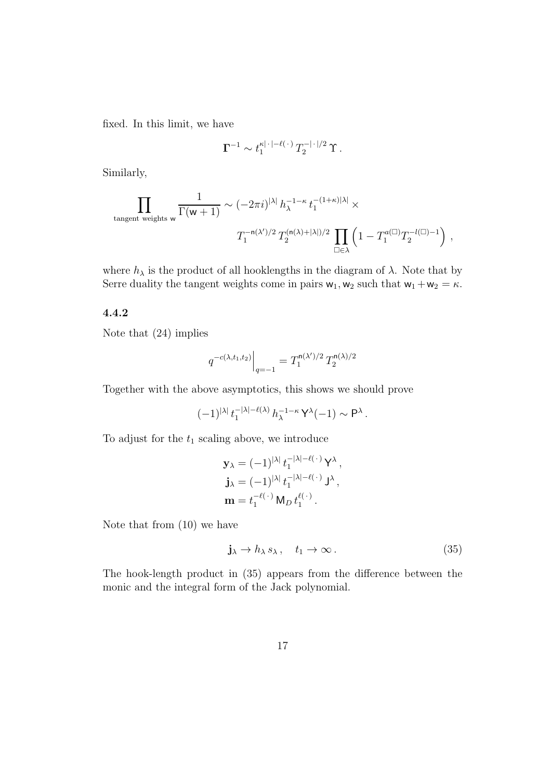fixed. In this limit, we have

$$
\Gamma^{-1} \sim t_1^{\kappa |\cdot| - \ell(\cdot)} T_2^{-|\cdot|/2} \Upsilon.
$$

Similarly,

$$
\prod_{\text{tangent weights } \mathbf{w}} \frac{1}{\Gamma(\mathbf{w}+1)} \sim (-2\pi i)^{|\lambda|} \, h_\lambda^{-1-\kappa} \, t_1^{-(1+\kappa)|\lambda|} \times \\qquad \qquad T_1^{-\mathsf{n}(\lambda')/2} \, T_2^{(\mathsf{n}(\lambda)+|\lambda|)/2} \, \prod_{\square \in \lambda} \left(1 - T_1^{a(\square)} T_2^{-l(\square)-1} \right) \, ,
$$

where  $h_{\lambda}$  is the product of all hooklengths in the diagram of  $\lambda$ . Note that by Serre duality the tangent weights come in pairs  $w_1, w_2$  such that  $w_1 + w_2 = \kappa$ .

#### 4.4.2

Note that (24) implies

$$
q^{-c(\lambda,t_1,t_2)}\Big|_{q=-1} = T_1^{{\rm n}(\lambda')/2}\,T_2^{{\rm n}(\lambda)/2}
$$

Together with the above asymptotics, this shows we should prove

 $(-1)^{|\lambda|} t_1^{-|\lambda|-\ell(\lambda)} h_{\lambda}^{-1-\kappa} Y^{\lambda}(-1) \sim P^{\lambda}.$ 

To adjust for the  $t_1$  scaling above, we introduce

$$
\mathbf{y}_{\lambda} = (-1)^{|\lambda|} t_1^{-|\lambda| - \ell(\cdot)} \mathbf{Y}^{\lambda},
$$
  
\n
$$
\mathbf{j}_{\lambda} = (-1)^{|\lambda|} t_1^{-|\lambda| - \ell(\cdot)} \mathbf{J}^{\lambda},
$$
  
\n
$$
\mathbf{m} = t_1^{-\ell(\cdot)} \mathbf{M}_D t_1^{\ell(\cdot)}.
$$

Note that from (10) we have

$$
\mathbf{j}_{\lambda} \to h_{\lambda} s_{\lambda}, \quad t_1 \to \infty. \tag{35}
$$

The hook-length product in (35) appears from the difference between the monic and the integral form of the Jack polynomial.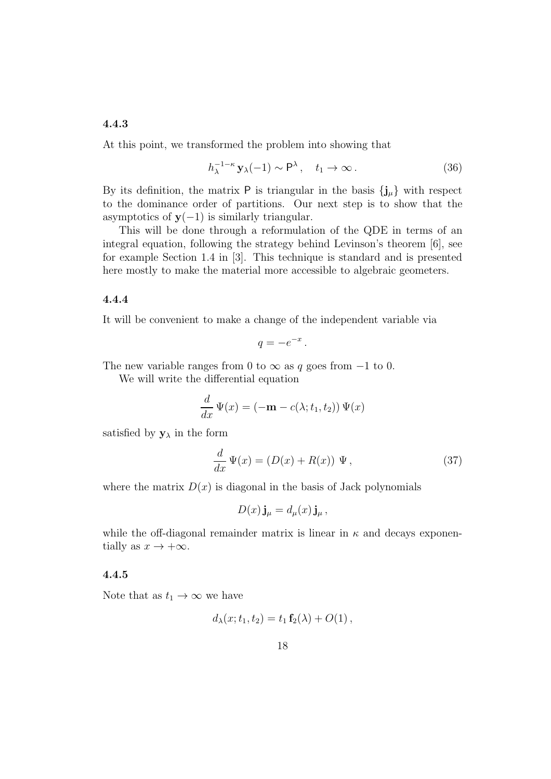## 4.4.3

At this point, we transformed the problem into showing that

$$
h_{\lambda}^{-1-\kappa} \mathbf{y}_{\lambda}(-1) \sim \mathsf{P}^{\lambda}, \quad t_1 \to \infty. \tag{36}
$$

By its definition, the matrix  ${\sf P}$  is triangular in the basis  $\{{\bf j}_\mu\}$  with respect to the dominance order of partitions. Our next step is to show that the asymptotics of  $y(-1)$  is similarly triangular.

This will be done through a reformulation of the QDE in terms of an integral equation, following the strategy behind Levinson's theorem [6], see for example Section 1.4 in [3]. This technique is standard and is presented here mostly to make the material more accessible to algebraic geometers.

## 4.4.4

It will be convenient to make a change of the independent variable via

$$
q=-e^{-x}.
$$

The new variable ranges from 0 to  $\infty$  as q goes from  $-1$  to 0.

We will write the differential equation

$$
\frac{d}{dx}\Psi(x) = (-\mathbf{m} - c(\lambda; t_1, t_2))\Psi(x)
$$

satisfied by  $\mathbf{y}_{\lambda}$  in the form

$$
\frac{d}{dx}\Psi(x) = (D(x) + R(x))\Psi,
$$
\n(37)

where the matrix  $D(x)$  is diagonal in the basis of Jack polynomials

$$
D(x)\mathbf{j}_{\mu} = d_{\mu}(x)\mathbf{j}_{\mu},
$$

while the off-diagonal remainder matrix is linear in  $\kappa$  and decays exponentially as  $x \to +\infty$ .

#### 4.4.5

Note that as  $t_1 \rightarrow \infty$  we have

$$
d_{\lambda}(x; t_1, t_2) = t_1 \mathbf{f}_2(\lambda) + O(1) ,
$$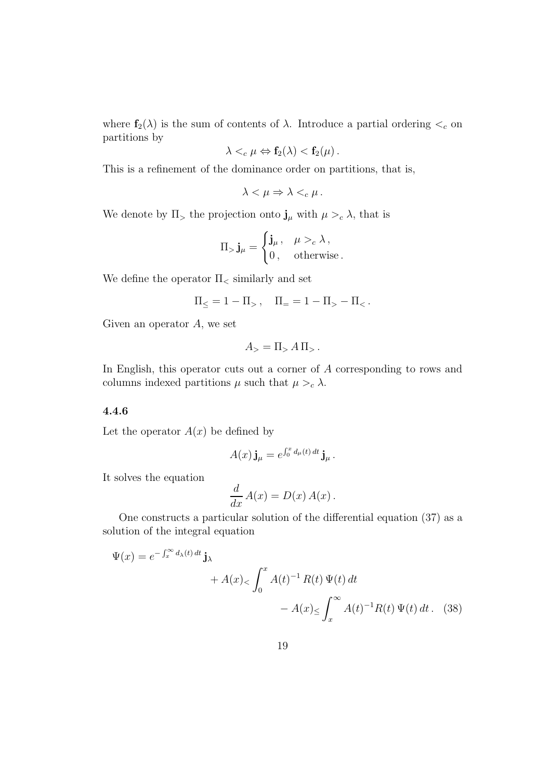where  $f_2(\lambda)$  is the sum of contents of  $\lambda$ . Introduce a partial ordering  $\lt_c$  on partitions by

$$
\lambda <_{c} \mu \Leftrightarrow \mathbf{f}_{2}(\lambda) < \mathbf{f}_{2}(\mu).
$$

This is a refinement of the dominance order on partitions, that is,

$$
\lambda < \mu \Rightarrow \lambda <_{c} \mu \, .
$$

We denote by  $\Pi$ <sub>></sub> the projection onto  $\mathbf{j}_{\mu}$  with  $\mu >_{c} \lambda$ , that is

$$
\Pi_{>}\mathbf{j}_{\mu}=\begin{cases}\mathbf{j}_{\mu}, & \mu>_{c}\lambda, \\ 0, & \text{otherwise}.\end{cases}
$$

We define the operator  $\Pi_{\leq}$  similarly and set

$$
\Pi_{\leq} = 1 - \Pi_{>} , \quad \Pi_{=} = 1 - \Pi_{>} - \Pi_{<} .
$$

Given an operator  $A$ , we set

$$
A_{>} = \Pi_{>} A \Pi_{>}.
$$

In English, this operator cuts out a corner of A corresponding to rows and columns indexed partitions  $\mu$  such that  $\mu >_{c} \lambda$ .

#### 4.4.6

Let the operator  $A(x)$  be defined by

$$
A(x)\mathbf{j}_{\mu} = e^{\int_0^x d_{\mu}(t) dt} \mathbf{j}_{\mu}.
$$

It solves the equation

$$
\frac{d}{dx}A(x) = D(x) A(x).
$$

One constructs a particular solution of the differential equation (37) as a solution of the integral equation

$$
\Psi(x) = e^{-\int_x^{\infty} d_{\lambda}(t) dt} \mathbf{j}_{\lambda}
$$
  
+  $A(x) < \int_0^x A(t)^{-1} R(t) \Psi(t) dt$   
-  $A(x) \le \int_x^{\infty} A(t)^{-1} R(t) \Psi(t) dt$ . (38)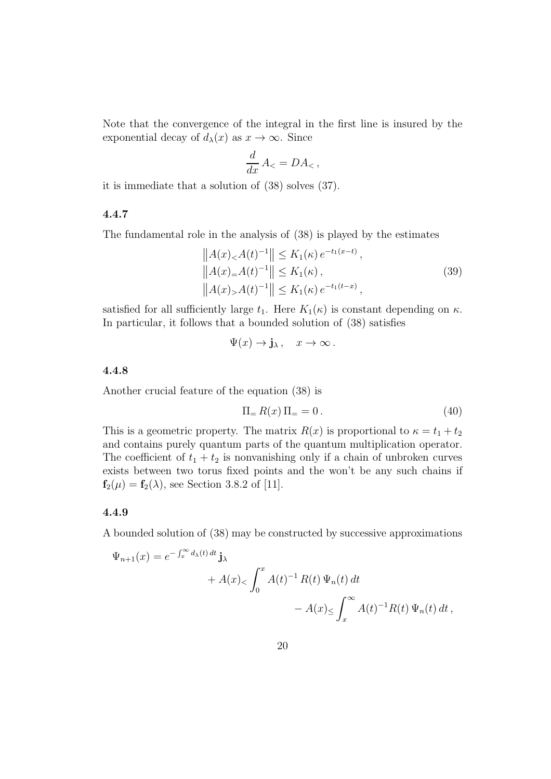Note that the convergence of the integral in the first line is insured by the exponential decay of  $d_{\lambda}(x)$  as  $x \to \infty$ . Since

$$
\frac{d}{dx}A_{<} = DA_{<} ,
$$

it is immediate that a solution of (38) solves (37).

#### 4.4.7

The fundamental role in the analysis of (38) is played by the estimates

$$
||A(x)_{<} A(t)^{-1}|| \leq K_1(\kappa) e^{-t_1(x-t)},
$$
  
\n
$$
||A(x)_{=A}(t)^{-1}|| \leq K_1(\kappa),
$$
  
\n
$$
||A(x)_{>} A(t)^{-1}|| \leq K_1(\kappa) e^{-t_1(t-x)},
$$
\n(39)

satisfied for all sufficiently large  $t_1$ . Here  $K_1(\kappa)$  is constant depending on  $\kappa$ . In particular, it follows that a bounded solution of (38) satisfies

$$
\Psi(x) \to \mathbf{j}_{\lambda}, \quad x \to \infty.
$$

#### 4.4.8

Another crucial feature of the equation (38) is

$$
\Pi = R(x) \Pi = 0. \tag{40}
$$

This is a geometric property. The matrix  $R(x)$  is proportional to  $\kappa = t_1 + t_2$ and contains purely quantum parts of the quantum multiplication operator. The coefficient of  $t_1 + t_2$  is nonvanishing only if a chain of unbroken curves exists between two torus fixed points and the won't be any such chains if  $f_2(\mu) = f_2(\lambda)$ , see Section 3.8.2 of [11].

#### 4.4.9

A bounded solution of (38) may be constructed by successive approximations

$$
\Psi_{n+1}(x) = e^{-\int_x^\infty d_\lambda(t) dt} \mathbf{j}_\lambda
$$
  
+  $A(x)_{<} \int_0^x A(t)^{-1} R(t) \Psi_n(t) dt$   
-  $A(x)_{\leq} \int_x^\infty A(t)^{-1} R(t) \Psi_n(t) dt$ ,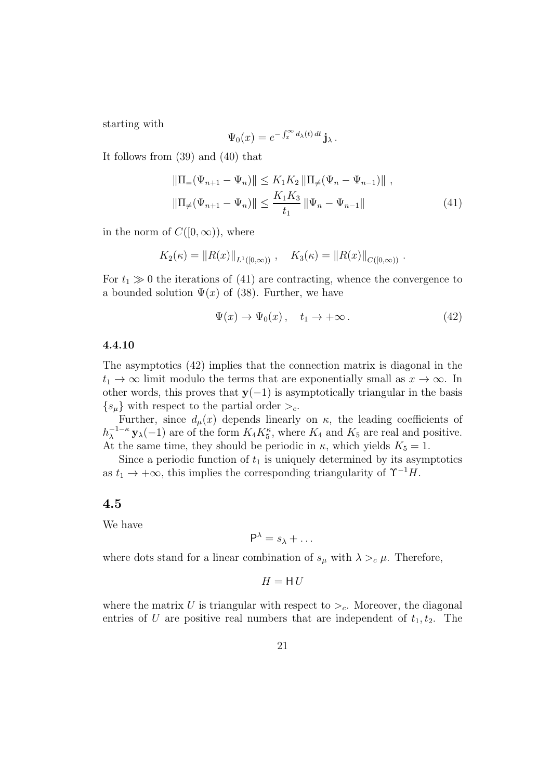starting with

$$
\Psi_0(x) = e^{-\int_x^{\infty} d\lambda(t) dt} \mathbf{j}_{\lambda}.
$$

It follows from (39) and (40) that

$$
\|\Pi_{=}(\Psi_{n+1} - \Psi_{n})\| \le K_1 K_2 \|\Pi_{\neq}(\Psi_n - \Psi_{n-1})\|,
$$
  

$$
\|\Pi_{\neq}(\Psi_{n+1} - \Psi_{n})\| \le \frac{K_1 K_3}{t_1} \|\Psi_n - \Psi_{n-1}\|
$$
 (41)

in the norm of  $C([0,\infty))$ , where

$$
K_2(\kappa) = ||R(x)||_{L^1([0,\infty))}
$$
,  $K_3(\kappa) = ||R(x)||_{C([0,\infty))}$ .

For  $t_1 \gg 0$  the iterations of (41) are contracting, whence the convergence to a bounded solution  $\Psi(x)$  of (38). Further, we have

$$
\Psi(x) \to \Psi_0(x) \,, \quad t_1 \to +\infty \,. \tag{42}
$$

#### 4.4.10

The asymptotics (42) implies that the connection matrix is diagonal in the  $t_1 \rightarrow \infty$  limit modulo the terms that are exponentially small as  $x \rightarrow \infty$ . In other words, this proves that  $y(-1)$  is asymptotically triangular in the basis  $\{s_\mu\}$  with respect to the partial order  $\geq_c$ .

Further, since  $d_{\mu}(x)$  depends linearly on  $\kappa$ , the leading coefficients of  $h_{\lambda}^{-1-\kappa}$  **y**<sub> $\lambda$ </sub>(-1) are of the form  $K_4 K_5^{\kappa}$ , where  $K_4$  and  $K_5$  are real and positive. At the same time, they should be periodic in  $\kappa$ , which yields  $K_5 = 1$ .

Since a periodic function of  $t_1$  is uniquely determined by its asymptotics as  $t_1 \rightarrow +\infty$ , this implies the corresponding triangularity of  $\Upsilon^{-1}H$ .

#### 4.5

We have

$$
P^{\lambda} = s_{\lambda} + \dots
$$

where dots stand for a linear combination of  $s_{\mu}$  with  $\lambda >_{c} \mu$ . Therefore,

$$
H = \mathsf{H}\,U
$$

where the matrix U is triangular with respect to  $\geq_c$ . Moreover, the diagonal entries of U are positive real numbers that are independent of  $t_1, t_2$ . The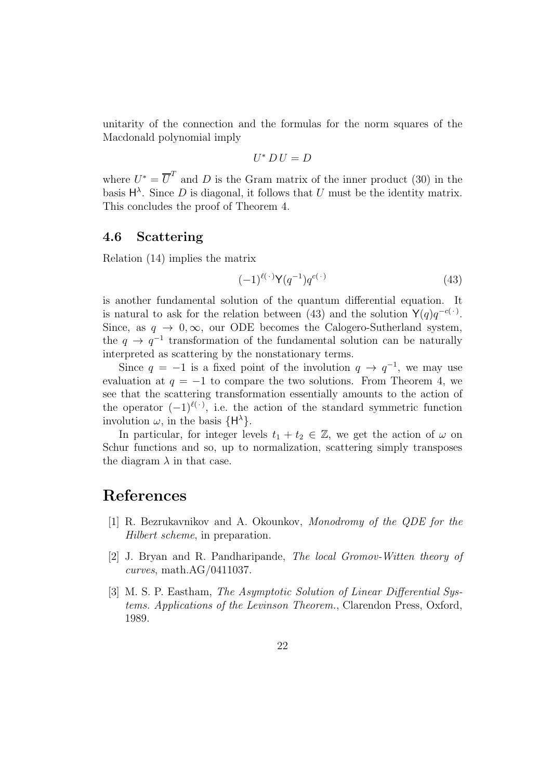unitarity of the connection and the formulas for the norm squares of the Macdonald polynomial imply

$$
U^* \, D \, U = D
$$

where  $U^* = \overline{U}^T$  and D is the Gram matrix of the inner product (30) in the basis  $H^{\lambda}$ . Since D is diagonal, it follows that U must be the identity matrix. This concludes the proof of Theorem 4.

## 4.6 Scattering

Relation (14) implies the matrix

$$
(-1)^{\ell(\cdot)}\mathsf{Y}(q^{-1})q^{c(\cdot)}\tag{43}
$$

is another fundamental solution of the quantum differential equation. It is natural to ask for the relation between (43) and the solution  $Y(q)q^{-c(\cdot)}$ . Since, as  $q \to 0$ ,  $\infty$ , our ODE becomes the Calogero-Sutherland system, the  $q \to q^{-1}$  transformation of the fundamental solution can be naturally interpreted as scattering by the nonstationary terms.

Since  $q = -1$  is a fixed point of the involution  $q \rightarrow q^{-1}$ , we may use evaluation at  $q = -1$  to compare the two solutions. From Theorem 4, we see that the scattering transformation essentially amounts to the action of the operator  $(-1)^{\ell(\cdot)}$ , i.e. the action of the standard symmetric function involution  $\omega$ , in the basis  $\{H^{\lambda}\}.$ 

In particular, for integer levels  $t_1 + t_2 \in \mathbb{Z}$ , we get the action of  $\omega$  on Schur functions and so, up to normalization, scattering simply transposes the diagram  $\lambda$  in that case.

## References

- [1] R. Bezrukavnikov and A. Okounkov, Monodromy of the QDE for the Hilbert scheme, in preparation.
- [2] J. Bryan and R. Pandharipande, The local Gromov-Witten theory of curves, math.AG/0411037.
- [3] M. S. P. Eastham, The Asymptotic Solution of Linear Differential Systems. Applications of the Levinson Theorem., Clarendon Press, Oxford, 1989.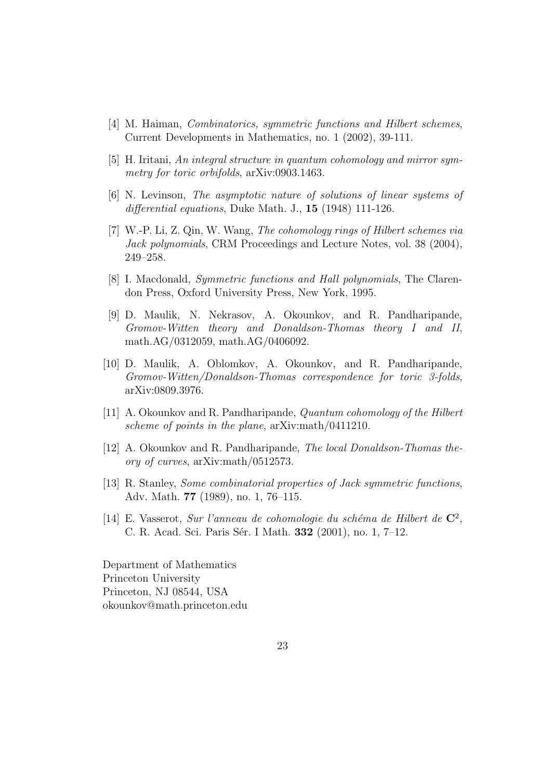- [4] M. Haiman, Combinatorics, symmetric functions and Hilbert schemes, Current Developments in Mathematics, no. 1 (2002), 39-111.
- [5] H. Iritani, An integral structure in quantum cohomology and mirror symmetry for toric orbifolds,  $arXiv:0903.1463$ .
- [6] N. Levinson, The asymptotic nature of solutions of linear systems of differential equations, Duke Math. J., **15** (1948) 111-126.
- [7] W.-P. Li, Z. Qin, W. Wang, The cohomology rings of Hilbert schemes via Jack polynomials, CRM Proceedings and Lecture Notes, vol. 38 (2004), 249–258.
- [8] I. Macdonald, Symmetric functions and Hall polynomials, The Clarendon Press, Oxford University Press, New York, 1995.
- [9] D. Maulik, N. Nekrasov, A. Okounkov, and R. Pandharipande, Gromov-Witten theory and Donaldson-Thomas theory I and II, math.AG/0312059, math.AG/0406092.
- [10] D. Maulik, A. Oblomkov, A. Okounkov, and R. Pandharipande, Gromov-Witten/Donaldson-Thomas correspondence for toric 3-folds, arXiv:0809.3976.
- [11] A. Okounkov and R. Pandharipande, Quantum cohomology of the Hilbert scheme of points in the plane, arXiv:math/0411210.
- [12] A. Okounkov and R. Pandharipande, The local Donaldson-Thomas theory of curves, arXiv:math/0512573.
- [13] R. Stanley, Some combinatorial properties of Jack symmetric functions, Adv. Math. 77 (1989), no. 1, 76–115.
- [14] E. Vasserot, Sur l'anneau de cohomologie du schéma de Hilbert de  $\mathbb{C}^2$ , C. R. Acad. Sci. Paris Sér. I Math. 332 (2001), no. 1, 7–12.

Department of Mathematics Princeton University Princeton, NJ 08544, USA okounkov@math.princeton.edu